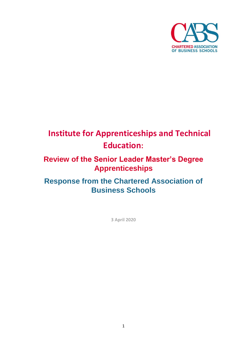

# **Institute for Apprenticeships and Technical Education:**

# **Review of the Senior Leader Master's Degree Apprenticeships**

# **Response from the Chartered Association of Business Schools**

**3 April 2020**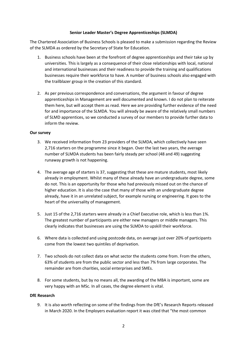#### **Senior Leader Master's Degree Apprenticeships (SLMDA)**

The Chartered Association of Business Schools is pleased to make a submission regarding the Review of the SLMDA as ordered by the Secretary of State for Education.

- 1. Business schools have been at the forefront of degree apprenticeships and their take up by universities. This is largely as a consequence of their close relationships with local, national and international businesses and their readiness to provide the training and qualifications businesses require their workforce to have. A number of business schools also engaged with the trailblazer group in the creation of this standard.
- 2. As per previous correspondence and conversations, the argument in favour of degree apprenticeships in Management are well documented and known. I do not plan to reiterate them here, but will accept them as read. Here we are providing further evidence of the need for and importance of the SLMDA. You will already be aware of the relatively small numbers of SLMD apprentices, so we conducted a survey of our members to provide further data to inform the review.

#### **Our survey**

- 3. We received information from 23 providers of the SLMDA, which collectively have seen 2,716 starters on the programme since it began. Over the last two years, the average number of SLMDA students has been fairly steady per school (48 and 49) suggesting runaway growth is not happening.
- 4. The average age of starters is 37, suggesting that these are mature students, most likely already in employment. Whilst many of these already have an undergraduate degree, some do not. This is an opportunity for those who had previously missed out on the chance of higher education. It is also the case that many of those with an undergraduate degree already, have it in an unrelated subject, for example nursing or engineering. It goes to the heart of the universality of management.
- 5. Just 15 of the 2,716 starters were already in a Chief Executive role, which is less than 1%. The greatest number of participants are either new managers or middle managers. This clearly indicates that businesses are using the SLMDA to upskill their workforce.
- 6. Where data is collected and using postcode data, on average just over 20% of participants come from the lowest two quintiles of deprivation.
- 7. Two schools do not collect data on what sector the students come from. From the others, 63% of students are from the public sector and less than 7% from large corporates. The remainder are from charities, social enterprises and SMEs.
- 8. For some students, but by no means all, the awarding of the MBA is important, some are very happy with an MSc. In all cases, the degree element is vital.

#### **DfE Research**

9. It is also worth reflecting on some of the findings from the DfE's Research Reports released in March 2020. In the Employers evaluation report it was cited that "the most common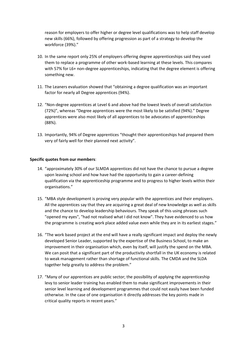reason for employers to offer higher or degree level qualifications was to help staff develop new skills (66%), followed by offering progression as part of a strategy to develop the workforce (39%)."

- 10. In the same report only 25% of employers offering degree apprenticeships said they used them to replace a programme of other work-based learning at these levels. This compares with 57% for L6+ non-degree apprenticeships, indicating that the degree element is offering something new.
- 11. The Leaners evaluation showed that "obtaining a degree qualification was an important factor for nearly all Degree apprentices (94%).
- 12. "Non-degree apprentices at Level 6 and above had the lowest levels of overall satisfaction (72%)", whereas "Degree apprentices were the most likely to be satisfied (94%)." Degree apprentices were also most likely of all apprentices to be advocates of apprenticeships (88%).
- 13. Importantly, 94% of Degree apprentices "thought their apprenticeships had prepared them very of fairly well for their planned next activity".

#### **Specific quotes from our members**:

- 14. "approximately 30% of our SLMDA apprentices did not have the chance to pursue a degree upon leaving school and how have had the opportunity to gain a career-defining qualification via the apprenticeship programme and to progress to higher levels within their organisations."
- 15. "MBA style development is proving very popular with the apprentices and their employers. All the apprentices say that they are acquiring a great deal of new knowledge as well as skills and the chance to develop leadership behaviours. They speak of this using phrases such "opened my eyes", "had not realised what I did not know". They have evidenced to us how the programme is creating work place added value even while they are in its earliest stages."
- 16. "The work based project at the end will have a really significant impact and deploy the newly developed Senior Leader, supported by the expertise of the Business School, to make an improvement in their organisation which, even by itself, will justify the spend on the MBA. We can posit that a significant part of the productivity shortfall in the UK economy is related to weak management rather than shortage of functional skills. The CMDA and the SLDA together help greatly to address the problem."
- 17. "Many of our apprentices are public sector; the possibility of applying the apprenticeship levy to senior leader training has enabled them to make significant improvements in their senior level learning and development programmes that could not easily have been funded otherwise. In the case of one organisation it directly addresses the key points made in critical quality reports in recent years."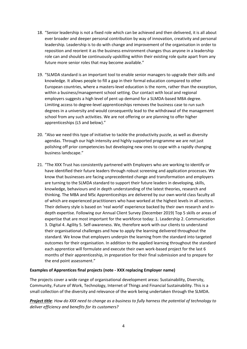- 18. "Senior leadership is not a fixed role which can be achieved and then delivered, it is all about ever broader and deeper personal contribution by way of innovation, creativity and personal leadership. Leadership is to do with change and improvement of the organisation in order to reposition and reorient it as the business environment changes thus anyone in a leadership role can and should be continuously upskilling within their existing role quite apart from any future more senior roles that may become available."
- 19. "SLMDA standard is an important tool to enable senior managers to upgrade their skills and knowledge. It allows people to fill a gap in their formal education compared to other European countries, where a masters-level education is the norm, rather than the exception, within a business/management school setting. Our contact with local and regional employers suggests a high level of pent up demand for a SLMDA-based MBA degree. Limiting access to degree-level apprenticeships removes the business case to run such degrees in a university and would consequently lead to the withdrawal of the management school from any such activities. We are not offering or are planning to offer higher apprenticeships (L5 and below)."
- 20. "Also we need this type of initiative to tackle the productivity puzzle, as well as diversity agendas. Through our high intensity and highly supported programme we are not just polishing off prior competencies but developing new ones to cope with a rapidly changing business landscape."
- 21. "The XXX Trust has consistently partnered with Employers who are working to identify or have identified their future leaders through robust screening and application processes. We know that businesses are facing unprecedented change and transformation and employers are turning to the SLMDA standard to support their future leaders in developing, skills, knowledge, behaviours and in depth understanding of the latest theories, research and thinking. The MBA and MSc Apprenticeships are delivered by our own world class faculty all of which are experienced practitioners who have worked at the highest levels in all sectors. Their delivery style is based on 'real world' experience backed by their own research and indepth expertise. Following our Annual Client Survey (December 2019) Top 5 skills or areas of expertise that are most important for the workforce today: 1. Leadership 2. Communication 3. Digital 4. Agility 5. Self-awareness. We, therefore work with our clients to understand their organisational challenges and how to apply the learning delivered throughout the standard. We know that employers underpin the learning from the standard into targeted outcomes for their organisation. In addition to the applied learning throughout the standard each apprentice will formulate and execute their own work-based project for the last 6 months of their apprenticeship, in preparation for their final submission and to prepare for the end point assessment."

#### **Examples of Apprentices final projects (note - XXX replacing Employer name)**

The projects cover a wide range of organisational development areas: Sustainability, Diversity, Community, Future of Work, Technology, Internet of Things and Financial Sustainability. This is a small collection of the diversity and relevance of the work being undertaken through the SLMDA.

*Project title: How do XXX need to change as a business to fully harness the potential of technology to deliver efficiency and benefits for its customers?*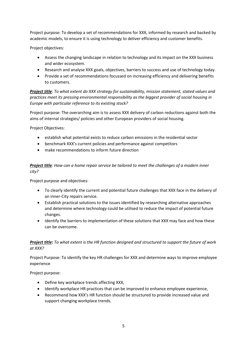Project purpose: To develop a set of recommendations for XXX, informed by research and backed by academic models, to ensure it is using technology to deliver efficiency and customer benefits.

Project objectives:

- Assess the changing landscape in relation to technology and its impact on the XXX business and wider ecosystem.
- Research and analyse XXX goals, objectives, barriers to success and use of technology today.
- Provide a set of recommendations focussed on increasing efficiency and delivering benefits to customers.

*Project title: To what extent do XXX strategy for sustainability, mission statement, stated values and practices meet its pressing environmental responsibility as the biggest provider of social housing in Europe with particular reference to its existing stock?*

Project purpose: The overarching aim is to assess XXX delivery of carbon reductions against both the aims of internal strategies/ policies and other European providers of social housing.

Project Objectives:

- establish what potential exists to reduce carbon emissions in the residential sector
- benchmark XXX's current policies and performance against competitors
- make recommendations to inform future direction

*Project title: How can a home repair service be tailored to meet the challenges of a modern inner city?* 

Project purpose and objectives:

- To clearly identify the current and potential future challenges that XXX face in the delivery of an inner-City repairs service.
- Establish practical solutions to the issues identified by researching alternative approaches and determine where technology could be utilised to reduce the impact of potential future changes.
- Identify the barriers to implementation of these solutions that XXX may face and how these can be overcome.

## *Project title: To what extent is the HR function designed and structured to support the future of work at XXX?*

Project Purpose: To identify the key HR challenges for XXX and determine ways to improve employee experience

Project purpose:

- Define key workplace trends affecting XXX,
- Identify workplace HR practices that can be improved to enhance employee experience,
- Recommend how XXX's HR function should be structured to provide increased value and support changing workplace trends.